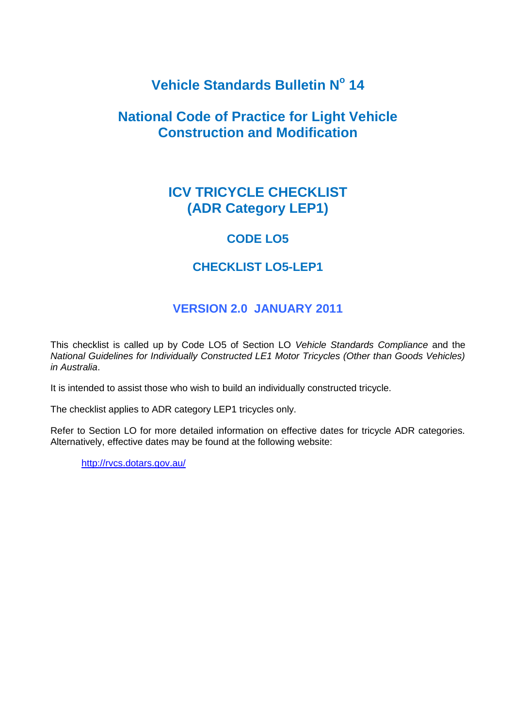# **Vehicle Standards Bulletin N<sup>o</sup> 14**

## **National Code of Practice for Light Vehicle Construction and Modification**

## **ICV TRICYCLE CHECKLIST (ADR Category LEP1)**

### **CODE LO5**

### **CHECKLIST LO5-LEP1**

### **VERSION 2.0 JANUARY 2011**

This checklist is called up by Code LO5 of Section LO *Vehicle Standards Compliance* and the *National Guidelines for Individually Constructed LE1 Motor Tricycles (Other than Goods Vehicles) in Australia*.

It is intended to assist those who wish to build an individually constructed tricycle.

The checklist applies to ADR category LEP1 tricycles only.

Refer to Section LO for more detailed information on effective dates for tricycle ADR categories. Alternatively, effective dates may be found at the following website:

<http://rvcs.dotars.gov.au/>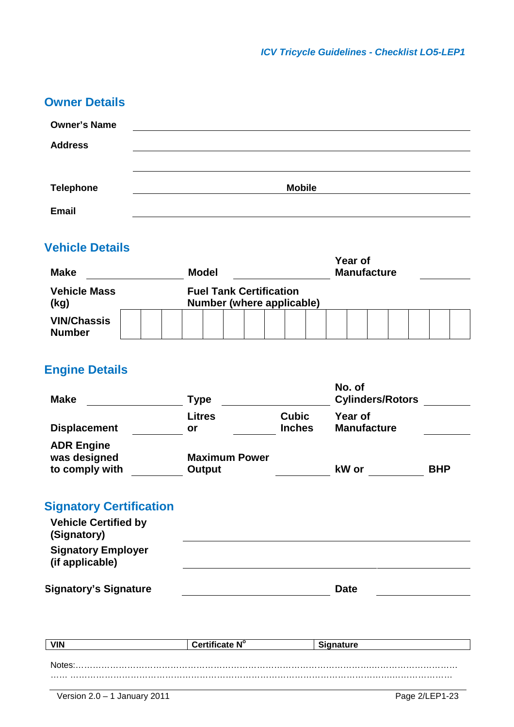| <b>Owner Details</b> |               |
|----------------------|---------------|
| <b>Owner's Name</b>  |               |
| <b>Address</b>       |               |
|                      |               |
| <b>Telephone</b>     | <b>Mobile</b> |
| <b>Email</b>         |               |
|                      |               |

# **Vehicle Details**

| <b>Make</b>                         |  | <b>Model</b> |                                                             |  |  | Year of<br><b>Manufacture</b> |  |  |  |  |  |  |  |  |  |  |  |
|-------------------------------------|--|--------------|-------------------------------------------------------------|--|--|-------------------------------|--|--|--|--|--|--|--|--|--|--|--|
| <b>Vehicle Mass</b><br>(kg)         |  |              | <b>Fuel Tank Certification</b><br>Number (where applicable) |  |  |                               |  |  |  |  |  |  |  |  |  |  |  |
| <b>VIN/Chassis</b><br><b>Number</b> |  |              |                                                             |  |  |                               |  |  |  |  |  |  |  |  |  |  |  |

# **Engine Details**

| <b>Make</b>                                                                  | <b>Type</b>          |                               | No. of<br><b>Cylinders/Rotors</b> |            |
|------------------------------------------------------------------------------|----------------------|-------------------------------|-----------------------------------|------------|
| <b>Displacement</b>                                                          | <b>Litres</b><br>or  | <b>Cubic</b><br><b>Inches</b> | Year of<br><b>Manufacture</b>     |            |
| <b>ADR Engine</b>                                                            |                      |                               |                                   |            |
| was designed                                                                 | <b>Maximum Power</b> |                               |                                   |            |
| to comply with                                                               | <b>Output</b>        |                               | kW or                             | <b>BHP</b> |
| <b>Signatory Certification</b><br><b>Vehicle Certified by</b><br>(Signatory) |                      |                               |                                   |            |
| <b>Signatory Employer</b><br>(if applicable)                                 |                      |                               |                                   |            |
| <b>Signatory's Signature</b>                                                 |                      |                               | <b>Date</b>                       |            |

| <b>VIN</b> | Certificate N° | -Sia.<br><b>nature</b> |
|------------|----------------|------------------------|
|            |                |                        |
| ∧l∩t∆c     |                |                        |
|            |                |                        |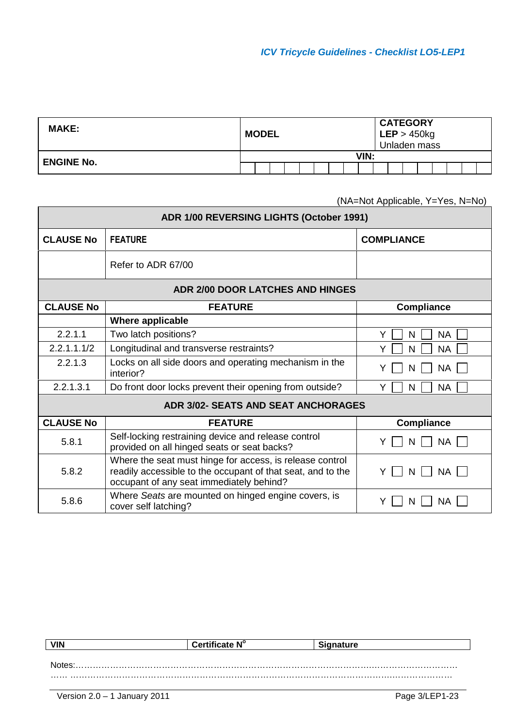| <b>MAKE:</b>      | <b>MODEL</b> |  |  |  |      |  | <b>CATEGORY</b><br>LEP > 450kg<br>Unladen mass |  |  |  |
|-------------------|--------------|--|--|--|------|--|------------------------------------------------|--|--|--|
| <b>ENGINE No.</b> |              |  |  |  | VIN: |  |                                                |  |  |  |
|                   |              |  |  |  |      |  |                                                |  |  |  |

(NA=Not Applicable, Y=Yes, N=No)

| <b>ADR 1/00 REVERSING LIGHTS (October 1991)</b> |                                                                                                                                                                     |                     |  |  |  |  |  |  |
|-------------------------------------------------|---------------------------------------------------------------------------------------------------------------------------------------------------------------------|---------------------|--|--|--|--|--|--|
| <b>CLAUSE No</b>                                | <b>FEATURE</b>                                                                                                                                                      | <b>COMPLIANCE</b>   |  |  |  |  |  |  |
|                                                 | Refer to ADR 67/00                                                                                                                                                  |                     |  |  |  |  |  |  |
| <b>ADR 2/00 DOOR LATCHES AND HINGES</b>         |                                                                                                                                                                     |                     |  |  |  |  |  |  |
| <b>CLAUSE No</b>                                | <b>FEATURE</b>                                                                                                                                                      | <b>Compliance</b>   |  |  |  |  |  |  |
|                                                 | Where applicable                                                                                                                                                    |                     |  |  |  |  |  |  |
| 2.2.1.1                                         | Two latch positions?                                                                                                                                                | Y<br><b>NA</b><br>N |  |  |  |  |  |  |
| 2.2.1.1.1/2                                     | Longitudinal and transverse restraints?                                                                                                                             | <b>NA</b><br>N<br>Y |  |  |  |  |  |  |
| 2.2.1.3                                         | Locks on all side doors and operating mechanism in the<br>interior?                                                                                                 | <b>NA</b><br>N      |  |  |  |  |  |  |
| 2.2.1.3.1                                       | Do front door locks prevent their opening from outside?                                                                                                             | <b>NA</b><br>Y<br>N |  |  |  |  |  |  |
|                                                 | <b>ADR 3/02- SEATS AND SEAT ANCHORAGES</b>                                                                                                                          |                     |  |  |  |  |  |  |
| <b>CLAUSE No</b>                                | <b>FEATURE</b>                                                                                                                                                      | <b>Compliance</b>   |  |  |  |  |  |  |
| 5.8.1                                           | Self-locking restraining device and release control<br>provided on all hinged seats or seat backs?                                                                  | <b>NA</b><br>N      |  |  |  |  |  |  |
| 5.8.2                                           | Where the seat must hinge for access, is release control<br>readily accessible to the occupant of that seat, and to the<br>occupant of any seat immediately behind? | Y<br>ΝA<br>N        |  |  |  |  |  |  |
| 5.8.6                                           | Where Seats are mounted on hinged engine covers, is<br>cover self latching?                                                                                         | ΝA<br>N             |  |  |  |  |  |  |

| <b>VIN</b> | Certificate N° | <b>Signature</b> |
|------------|----------------|------------------|
|            |                |                  |
| Notes      |                |                  |
|            |                |                  |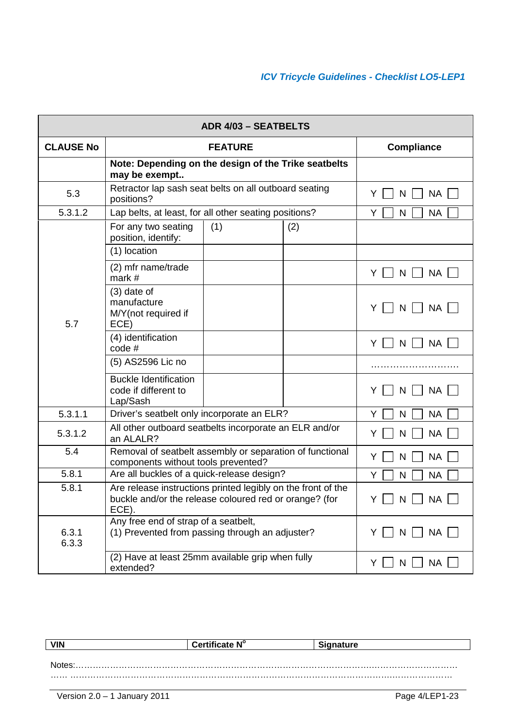|                    | <b>ADR 4/03 - SEATBELTS</b>                                                                                                     |                         |     |                      |  |  |  |  |
|--------------------|---------------------------------------------------------------------------------------------------------------------------------|-------------------------|-----|----------------------|--|--|--|--|
| <b>CLAUSE No</b>   |                                                                                                                                 | <b>Compliance</b>       |     |                      |  |  |  |  |
|                    | Note: Depending on the design of the Trike seatbelts<br>may be exempt                                                           |                         |     |                      |  |  |  |  |
| 5.3                | Retractor lap sash seat belts on all outboard seating<br>positions?                                                             |                         |     | Y<br><b>NA</b><br>N  |  |  |  |  |
| 5.3.1.2            | Lap belts, at least, for all other seating positions?                                                                           |                         |     | <b>NA</b><br>Y<br>N  |  |  |  |  |
|                    | For any two seating<br>position, identify:                                                                                      | (1)                     | (2) |                      |  |  |  |  |
|                    | (1) location                                                                                                                    |                         |     |                      |  |  |  |  |
|                    | (2) mfr name/trade<br>mark $#$                                                                                                  |                         |     | <b>NA</b><br>Y.<br>N |  |  |  |  |
| 5.7                | $(3)$ date of<br>manufacture<br>M/Y(not required if<br>ECE)                                                                     |                         |     | N<br><b>NA</b><br>Y  |  |  |  |  |
|                    | (4) identification<br>code#                                                                                                     |                         |     | Y<br><b>NA</b><br>N  |  |  |  |  |
|                    | (5) AS2596 Lic no                                                                                                               |                         |     |                      |  |  |  |  |
|                    | <b>Buckle Identification</b><br>code if different to<br>Lap/Sash                                                                |                         |     | <b>NA</b><br>Y<br>N  |  |  |  |  |
| 5.3.1.1            | Driver's seatbelt only incorporate an ELR?                                                                                      |                         |     | Y<br><b>NA</b><br>N  |  |  |  |  |
| 5.3.1.2            | All other outboard seatbelts incorporate an ELR and/or<br>an ALALR?                                                             |                         |     | <b>NA</b><br>Y<br>N  |  |  |  |  |
| 5.4                | Removal of seatbelt assembly or separation of functional<br>components without tools prevented?                                 |                         |     | <b>NA</b><br>Y<br>N  |  |  |  |  |
| $\overline{5.8.1}$ | Are all buckles of a quick-release design?                                                                                      |                         |     | Y<br>N<br><b>NA</b>  |  |  |  |  |
| 5.8.1              | Are release instructions printed legibly on the front of the<br>buckle and/or the release coloured red or orange? (for<br>ECE). | $Y \cup N \cup NA \cup$ |     |                      |  |  |  |  |
| 6.3.1<br>6.3.3     | Any free end of strap of a seatbelt,<br>(1) Prevented from passing through an adjuster?                                         |                         |     | <b>NA</b><br>Y<br>N  |  |  |  |  |
|                    | (2) Have at least 25mm available grip when fully<br>extended?                                                                   |                         |     | <b>NA</b><br>Y.<br>N |  |  |  |  |

| <b>VIN</b> | Certificate N° | <b>Signature</b> |
|------------|----------------|------------------|
|            |                |                  |
| Notes.     |                |                  |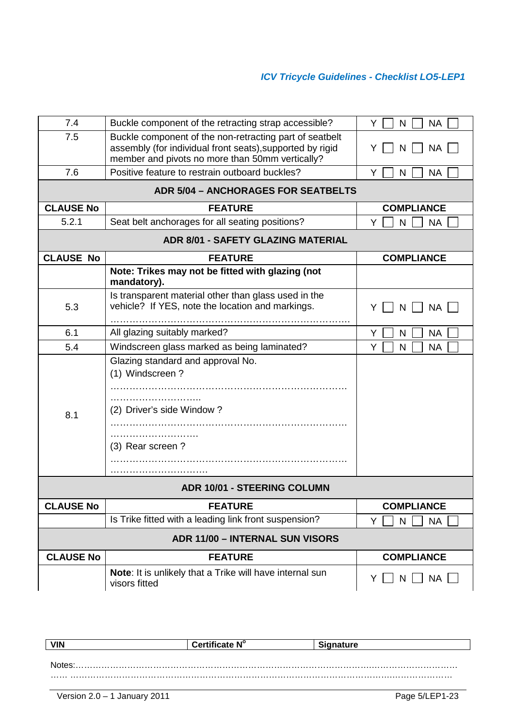| 7.4              | Buckle component of the retracting strap accessible?                                                                                                                    | Y<br><b>NA</b><br>N  |
|------------------|-------------------------------------------------------------------------------------------------------------------------------------------------------------------------|----------------------|
| 7.5              | Buckle component of the non-retracting part of seatbelt<br>assembly (for individual front seats), supported by rigid<br>member and pivots no more than 50mm vertically? | Y<br><b>NA</b><br>N  |
| 7.6              | Positive feature to restrain outboard buckles?                                                                                                                          | <b>NA</b><br>Y<br>N  |
|                  | <b>ADR 5/04 - ANCHORAGES FOR SEATBELTS</b>                                                                                                                              |                      |
| <b>CLAUSE No</b> | <b>FEATURE</b>                                                                                                                                                          | <b>COMPLIANCE</b>    |
| 5.2.1            | Seat belt anchorages for all seating positions?                                                                                                                         | Y<br><b>NA</b><br>N  |
|                  | <b>ADR 8/01 - SAFETY GLAZING MATERIAL</b>                                                                                                                               |                      |
| <b>CLAUSE No</b> | <b>FEATURE</b>                                                                                                                                                          | <b>COMPLIANCE</b>    |
|                  | Note: Trikes may not be fitted with glazing (not<br>mandatory).                                                                                                         |                      |
| 5.3              | Is transparent material other than glass used in the<br>vehicle? If YES, note the location and markings.                                                                | <b>NA</b><br>Y<br>N  |
| 6.1              | All glazing suitably marked?                                                                                                                                            | <b>NA</b><br>Y<br>N  |
| 5.4              | Windscreen glass marked as being laminated?                                                                                                                             | Y<br><b>NA</b><br>N  |
| 8.1              | Glazing standard and approval No.<br>(1) Windscreen?<br>(2) Driver's side Window?<br>(3) Rear screen?                                                                   |                      |
|                  | <b>ADR 10/01 - STEERING COLUMN</b>                                                                                                                                      |                      |
| <b>CLAUSE No</b> | <b>FEATURE</b>                                                                                                                                                          | <b>COMPLIANCE</b>    |
|                  | Is Trike fitted with a leading link front suspension?                                                                                                                   | N<br><b>NA</b><br>Y  |
|                  | <b>ADR 11/00 - INTERNAL SUN VISORS</b>                                                                                                                                  |                      |
| <b>CLAUSE No</b> | <b>FEATURE</b>                                                                                                                                                          | <b>COMPLIANCE</b>    |
|                  | Note: It is unlikely that a Trike will have internal sun<br>visors fitted                                                                                               | <b>NA</b><br>N<br>Y. |

| <b>VIN</b>   | Certificate N° | Signature |  |  |  |  |
|--------------|----------------|-----------|--|--|--|--|
|              |                |           |  |  |  |  |
| <b>Notes</b> |                |           |  |  |  |  |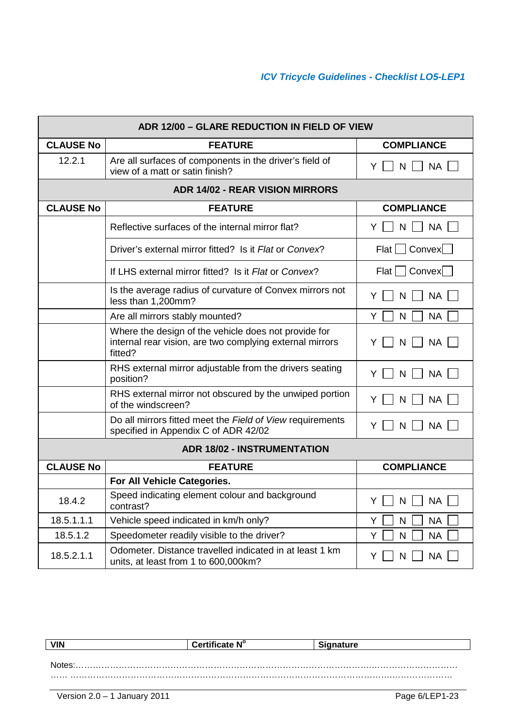|                  | ADR 12/00 - GLARE REDUCTION IN FIELD OF VIEW                                                                                |                                  |
|------------------|-----------------------------------------------------------------------------------------------------------------------------|----------------------------------|
| <b>CLAUSE No</b> | <b>FEATURE</b>                                                                                                              | <b>COMPLIANCE</b>                |
| 12.2.1           | Are all surfaces of components in the driver's field of<br>view of a matt or satin finish?                                  | <b>NA</b><br>N<br>Y              |
|                  |                                                                                                                             |                                  |
| <b>CLAUSE No</b> | <b>FEATURE</b>                                                                                                              | <b>COMPLIANCE</b>                |
|                  | Reflective surfaces of the internal mirror flat?                                                                            | <b>NA</b><br>N<br>Y              |
|                  | Driver's external mirror fitted? Is it Flat or Convex?                                                                      | Flat   Convex                    |
|                  | If LHS external mirror fitted? Is it Flat or Convex?                                                                        | Flat   Convex                    |
|                  | Is the average radius of curvature of Convex mirrors not<br>less than 1,200mm?                                              | <b>NA</b><br>Y<br>N              |
|                  | Are all mirrors stably mounted?                                                                                             | <b>NA</b><br>Y<br>N              |
|                  | Where the design of the vehicle does not provide for<br>internal rear vision, are two complying external mirrors<br>fitted? | <b>NA</b><br>Y<br>N              |
|                  | RHS external mirror adjustable from the drivers seating<br>position?                                                        | <b>NA</b><br>Y<br>N              |
|                  | RHS external mirror not obscured by the unwiped portion<br>of the windscreen?                                               | <b>NA</b><br>Y<br>N              |
|                  | Do all mirrors fitted meet the Field of View requirements<br>specified in Appendix C of ADR 42/02                           | <b>NA</b><br>Y<br>N              |
|                  | <b>ADR 18/02 - INSTRUMENTATION</b>                                                                                          |                                  |
| <b>CLAUSE No</b> | <b>FEATURE</b>                                                                                                              | <b>COMPLIANCE</b>                |
|                  | For All Vehicle Categories.                                                                                                 |                                  |
| 18.4.2           | Speed indicating element colour and background<br>contrast?                                                                 | $Y \square N \square NA \square$ |
| 18.5.1.1.1       | Vehicle speed indicated in km/h only?                                                                                       | Y<br>${\sf N}$<br><b>NA</b>      |
| 18.5.1.2         | Speedometer readily visible to the driver?                                                                                  | Y<br><b>NA</b><br>$\mathsf{N}$   |
| 18.5.2.1.1       | Odometer. Distance travelled indicated in at least 1 km<br>units, at least from 1 to 600,000km?                             | <b>NA</b><br>Y<br>N              |

| <b>VIN</b> | Certificate N° | `ianature |
|------------|----------------|-----------|
|            |                |           |
| Notes      |                |           |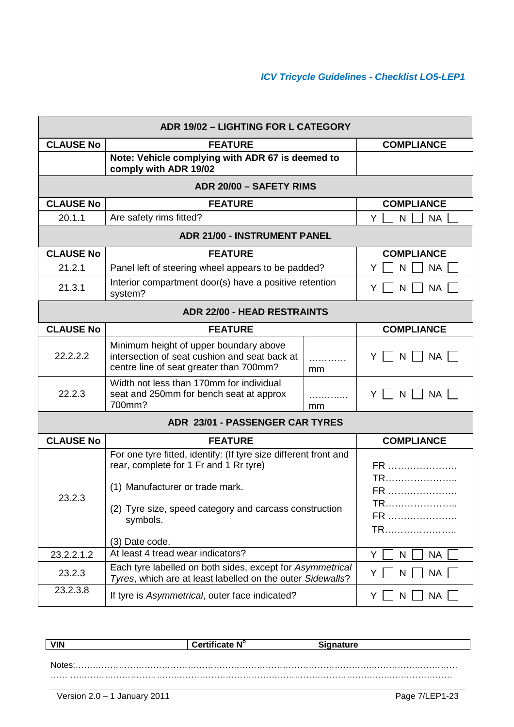|                  | ADR 19/02 - LIGHTING FOR L CATEGORY                                                                                                                                                                                                   |         |                                  |  |
|------------------|---------------------------------------------------------------------------------------------------------------------------------------------------------------------------------------------------------------------------------------|---------|----------------------------------|--|
| <b>CLAUSE No</b> | <b>FEATURE</b>                                                                                                                                                                                                                        |         | <b>COMPLIANCE</b>                |  |
|                  | Note: Vehicle complying with ADR 67 is deemed to<br>comply with ADR 19/02                                                                                                                                                             |         |                                  |  |
|                  | ADR 20/00 - SAFETY RIMS                                                                                                                                                                                                               |         |                                  |  |
| <b>CLAUSE No</b> | <b>FEATURE</b>                                                                                                                                                                                                                        |         | <b>COMPLIANCE</b>                |  |
| 20.1.1           | Are safety rims fitted?                                                                                                                                                                                                               |         | Y<br><b>NA</b><br>N              |  |
|                  | <b>ADR 21/00 - INSTRUMENT PANEL</b>                                                                                                                                                                                                   |         |                                  |  |
| <b>CLAUSE No</b> | <b>FEATURE</b>                                                                                                                                                                                                                        |         | <b>COMPLIANCE</b>                |  |
| 21.2.1           | Panel left of steering wheel appears to be padded?                                                                                                                                                                                    |         | N<br>Y<br><b>NA</b>              |  |
| 21.3.1           | Interior compartment door(s) have a positive retention<br>system?                                                                                                                                                                     |         | <b>NA</b><br>Y<br>N              |  |
|                  | <b>ADR 22/00 - HEAD RESTRAINTS</b>                                                                                                                                                                                                    |         |                                  |  |
| <b>CLAUSE No</b> | <b>FEATURE</b>                                                                                                                                                                                                                        |         | <b>COMPLIANCE</b>                |  |
| 22.2.2.2         | Minimum height of upper boundary above<br>intersection of seat cushion and seat back at<br>centre line of seat greater than 700mm?                                                                                                    | .<br>mm | Y<br>NA I<br><sup>N</sup>        |  |
| 22.2.3           | Width not less than 170mm for individual<br>seat and 250mm for bench seat at approx<br>700mm?                                                                                                                                         | mm      | NA  <br>N<br>Y                   |  |
|                  | ADR 23/01 - PASSENGER CAR TYRES                                                                                                                                                                                                       |         |                                  |  |
| <b>CLAUSE No</b> | <b>FEATURE</b>                                                                                                                                                                                                                        |         | <b>COMPLIANCE</b>                |  |
| 23.2.3           | For one tyre fitted, identify: (If tyre size different front and<br>rear, complete for 1 Fr and 1 Rr tyre)<br>(1) Manufacturer or trade mark.<br>(2) Tyre size, speed category and carcass construction<br>symbols.<br>(3) Date code. |         | FR<br>TR<br>FR<br>TR<br>FR<br>TR |  |
| 23.2.2.1.2       | At least 4 tread wear indicators?                                                                                                                                                                                                     |         | Y<br>N<br><b>NA</b>              |  |
| 23.2.3           | Each tyre labelled on both sides, except for Asymmetrical<br>Tyres, which are at least labelled on the outer Sidewalls?                                                                                                               |         | <b>NA</b><br>Y<br>N              |  |
| 23.2.3.8         | If tyre is Asymmetrical, outer face indicated?                                                                                                                                                                                        |         | <b>NA</b><br>Y<br>N              |  |

**VIN Certificate N<sup>o</sup> Signature** Notes:………………………………………………………………………………………….…………………………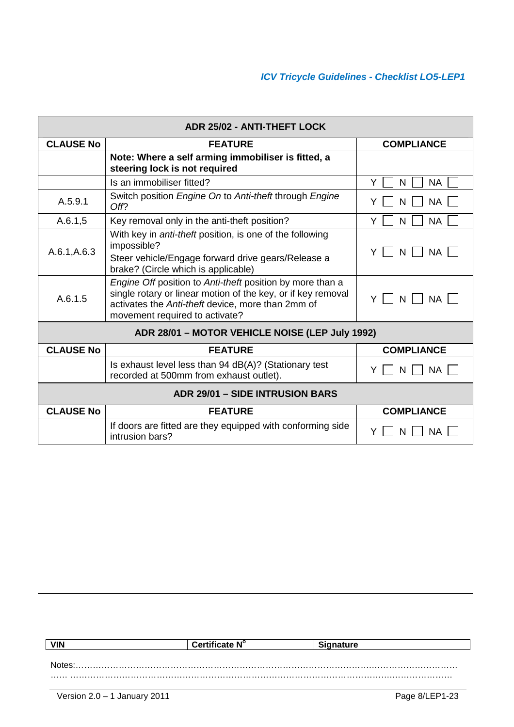| ADR 25/02 - ANTI-THEFT LOCK                     |                                                                                                                                                                                                                  |                     |  |
|-------------------------------------------------|------------------------------------------------------------------------------------------------------------------------------------------------------------------------------------------------------------------|---------------------|--|
| <b>CLAUSE No</b>                                | <b>FEATURE</b>                                                                                                                                                                                                   | <b>COMPLIANCE</b>   |  |
|                                                 | Note: Where a self arming immobiliser is fitted, a<br>steering lock is not required                                                                                                                              |                     |  |
|                                                 | Is an immobiliser fitted?                                                                                                                                                                                        | Y<br><b>NA</b><br>N |  |
| A.5.9.1                                         | Switch position Engine On to Anti-theft through Engine<br>Off?                                                                                                                                                   | <b>NA</b><br>Y<br>N |  |
| A.6.1,5                                         | Key removal only in the anti-theft position?                                                                                                                                                                     | <b>NA</b><br>Y<br>N |  |
| A.6.1, A.6.3                                    | With key in <i>anti-theft</i> position, is one of the following<br>impossible?<br>Steer vehicle/Engage forward drive gears/Release a<br>brake? (Circle which is applicable)                                      | <b>NA</b><br>Y<br>N |  |
| A.6.1.5                                         | Engine Off position to Anti-theft position by more than a<br>single rotary or linear motion of the key, or if key removal<br>activates the Anti-theft device, more than 2mm of<br>movement required to activate? | <b>NA</b><br>N      |  |
| ADR 28/01 - MOTOR VEHICLE NOISE (LEP July 1992) |                                                                                                                                                                                                                  |                     |  |
| <b>CLAUSE No</b>                                | <b>FEATURE</b>                                                                                                                                                                                                   | <b>COMPLIANCE</b>   |  |
|                                                 | Is exhaust level less than 94 dB(A)? (Stationary test<br>recorded at 500mm from exhaust outlet).                                                                                                                 | <b>NA</b><br>Y<br>N |  |
|                                                 | <b>ADR 29/01 - SIDE INTRUSION BARS</b>                                                                                                                                                                           |                     |  |
| <b>CLAUSE No</b>                                | <b>FEATURE</b>                                                                                                                                                                                                   | <b>COMPLIANCE</b>   |  |
|                                                 | If doors are fitted are they equipped with conforming side<br>intrusion bars?                                                                                                                                    | ΝA                  |  |

| <b>VIN</b> | Certificate N° | <b>nature</b> |
|------------|----------------|---------------|
|            |                |               |
|            |                |               |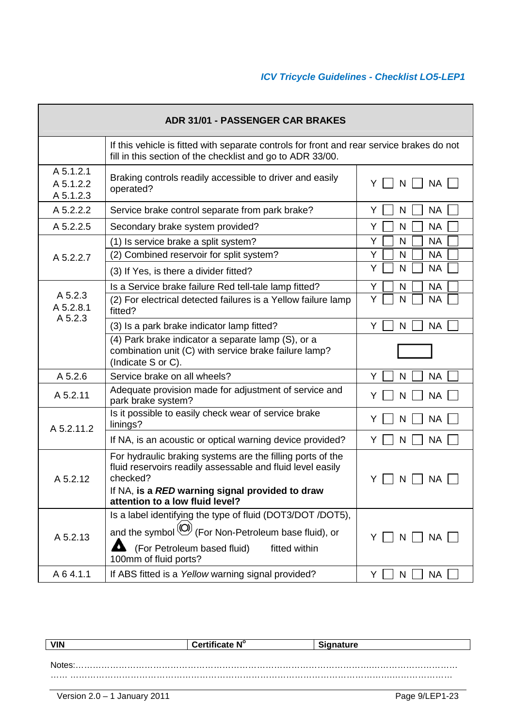| <b>ADR 31/01 - PASSENGER CAR BRAKES</b> |                                                                                                                                                                                                                                    |                     |
|-----------------------------------------|------------------------------------------------------------------------------------------------------------------------------------------------------------------------------------------------------------------------------------|---------------------|
|                                         | If this vehicle is fitted with separate controls for front and rear service brakes do not<br>fill in this section of the checklist and go to ADR 33/00.                                                                            |                     |
| A 5.1.2.1<br>A 5.1.2.2<br>A 5.1.2.3     | Braking controls readily accessible to driver and easily<br>operated?                                                                                                                                                              | NA  <br>Y<br>N      |
| A 5.2.2.2                               | Service brake control separate from park brake?                                                                                                                                                                                    | <b>NA</b><br>Y<br>N |
| A 5.2.2.5                               | Secondary brake system provided?                                                                                                                                                                                                   | Y<br><b>NA</b><br>N |
|                                         | (1) Is service brake a split system?                                                                                                                                                                                               | Y<br><b>NA</b><br>N |
| A 5.2.2.7                               | (2) Combined reservoir for split system?                                                                                                                                                                                           | Y<br><b>NA</b><br>N |
|                                         | (3) If Yes, is there a divider fitted?                                                                                                                                                                                             | Y<br>N<br><b>NA</b> |
|                                         | Is a Service brake failure Red tell-tale lamp fitted?                                                                                                                                                                              | <b>NA</b><br>Υ<br>N |
| A 5.2.3<br>A 5.2.8.1<br>A 5.2.3         | (2) For electrical detected failures is a Yellow failure lamp<br>fitted?                                                                                                                                                           | Y<br>N<br><b>NA</b> |
|                                         | (3) Is a park brake indicator lamp fitted?                                                                                                                                                                                         | Y<br><b>NA</b><br>N |
|                                         | (4) Park brake indicator a separate lamp (S), or a<br>combination unit (C) with service brake failure lamp?<br>(Indicate S or C).                                                                                                  |                     |
| A 5.2.6                                 | Service brake on all wheels?                                                                                                                                                                                                       | <b>NA</b><br>Y<br>N |
| A 5.2.11                                | Adequate provision made for adjustment of service and<br>park brake system?                                                                                                                                                        | <b>NA</b><br>Y<br>N |
| A 5.2.11.2                              | Is it possible to easily check wear of service brake<br>linings?                                                                                                                                                                   | Y<br><b>NA</b><br>N |
|                                         | If NA, is an acoustic or optical warning device provided?                                                                                                                                                                          | <b>NA</b><br>Y<br>N |
| A 5.2.12                                | For hydraulic braking systems are the filling ports of the<br>fluid reservoirs readily assessable and fluid level easily<br>checked?<br>If NA, is a RED warning signal provided to draw<br>attention to a low fluid level?         | NА<br>Y             |
| A 5.2.13                                | Is a label identifying the type of fluid (DOT3/DOT /DOT5),<br>and the symbol $\left(\bigcup_{n=1}^{\infty} I_n\right)$ (For Non-Petroleum base fluid), or<br>(For Petroleum based fluid)<br>fitted within<br>100mm of fluid ports? | NA  <br>Y<br>N      |
| A 6 4.1.1                               | If ABS fitted is a Yellow warning signal provided?                                                                                                                                                                                 | <b>NA</b><br>Y<br>N |

| <b>VIN</b> | Certificate N° | anature |
|------------|----------------|---------|
|            |                |         |
|            |                |         |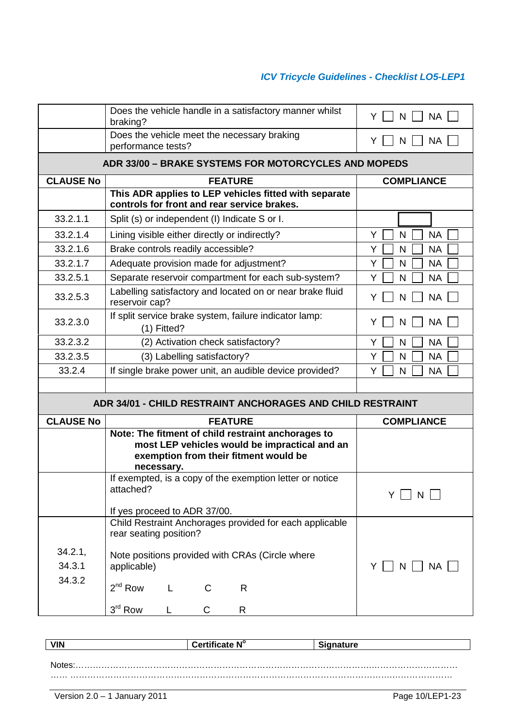|                  | Does the vehicle handle in a satisfactory manner whilst<br>braking?                                                                                        | Y<br><b>NA</b><br>N |
|------------------|------------------------------------------------------------------------------------------------------------------------------------------------------------|---------------------|
|                  | Does the vehicle meet the necessary braking<br>performance tests?                                                                                          | <b>NA</b><br>Y<br>N |
|                  | <b>ADR 33/00 - BRAKE SYSTEMS FOR MOTORCYCLES AND MOPEDS</b>                                                                                                |                     |
| <b>CLAUSE No</b> | <b>FEATURE</b>                                                                                                                                             | <b>COMPLIANCE</b>   |
|                  | This ADR applies to LEP vehicles fitted with separate<br>controls for front and rear service brakes.                                                       |                     |
| 33.2.1.1         | Split (s) or independent (I) Indicate S or I.                                                                                                              |                     |
| 33.2.1.4         | Lining visible either directly or indirectly?                                                                                                              | Y<br><b>NA</b><br>N |
| 33.2.1.6         | Brake controls readily accessible?                                                                                                                         | Y<br><b>NA</b><br>N |
| 33.2.1.7         | Adequate provision made for adjustment?                                                                                                                    | <b>NA</b><br>Y<br>N |
| 33.2.5.1         | Separate reservoir compartment for each sub-system?                                                                                                        | Y<br>N<br><b>NA</b> |
| 33.2.5.3         | Labelling satisfactory and located on or near brake fluid<br>reservoir cap?                                                                                | Y<br><b>NA</b><br>N |
| 33.2.3.0         | If split service brake system, failure indicator lamp:<br>$(1)$ Fitted?                                                                                    | <b>NA</b><br>Y<br>N |
| 33.2.3.2         | (2) Activation check satisfactory?                                                                                                                         | <b>NA</b><br>Y<br>N |
| 33.2.3.5         | (3) Labelling satisfactory?                                                                                                                                | Y<br>N<br><b>NA</b> |
| 33.2.4           | If single brake power unit, an audible device provided?                                                                                                    | Y<br>N<br><b>NA</b> |
|                  |                                                                                                                                                            |                     |
|                  | <b>ADR 34/01 - CHILD RESTRAINT ANCHORAGES AND CHILD RESTRAINT</b>                                                                                          |                     |
| <b>CLAUSE No</b> | <b>FEATURE</b>                                                                                                                                             | <b>COMPLIANCE</b>   |
|                  | Note: The fitment of child restraint anchorages to<br>most LEP vehicles would be impractical and an<br>exemption from their fitment would be<br>necessary. |                     |
|                  | If exempted, is a copy of the exemption letter or notice<br>attached?                                                                                      | N<br>Y              |
|                  | If yes proceed to ADR 37/00.<br>Child Restraint Anchorages provided for each applicable                                                                    |                     |
|                  | rear seating position?                                                                                                                                     |                     |
| 34.2.1,          | Note positions provided with CRAs (Circle where                                                                                                            |                     |
| 34.3.1           | applicable)                                                                                                                                                | Y<br><b>NA</b><br>N |
| 34.3.2           | $2^{nd}$ Row<br>R<br>C                                                                                                                                     |                     |
|                  | $3rd$ Row<br>R<br>C<br>L                                                                                                                                   |                     |

| <b>VIN</b> | Certificate N° | <b>Signature</b> |
|------------|----------------|------------------|
|            |                |                  |
| Notes:     |                |                  |
|            |                |                  |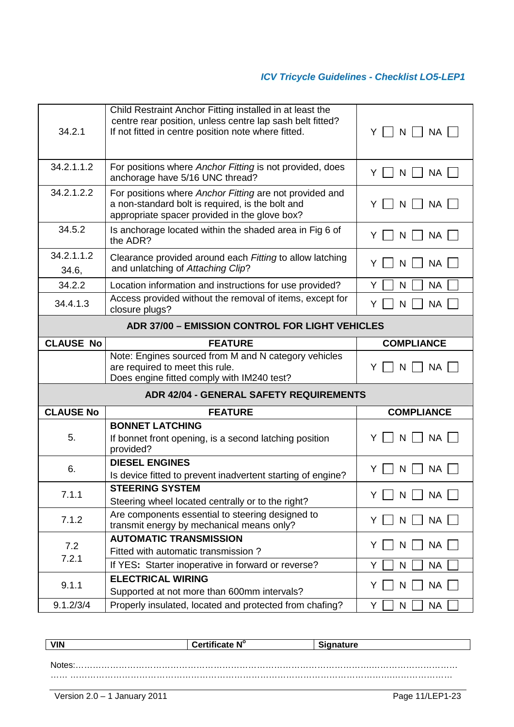| 34.2.1                                                 | Child Restraint Anchor Fitting installed in at least the<br>centre rear position, unless centre lap sash belt fitted?<br>If not fitted in centre position note where fitted. | Y N N NA             |
|--------------------------------------------------------|------------------------------------------------------------------------------------------------------------------------------------------------------------------------------|----------------------|
| 34.2.1.1.2                                             | For positions where Anchor Fitting is not provided, does<br>anchorage have 5/16 UNC thread?                                                                                  | Y<br><b>NA</b><br>N  |
| 34.2.1.2.2                                             | For positions where Anchor Fitting are not provided and<br>a non-standard bolt is required, is the bolt and<br>appropriate spacer provided in the glove box?                 | N<br><b>NA</b><br>Y  |
| 34.5.2                                                 | Is anchorage located within the shaded area in Fig 6 of<br>the ADR?                                                                                                          | <b>NA</b><br>Y<br>N  |
| 34.2.1.1.2<br>34.6,                                    | Clearance provided around each Fitting to allow latching<br>and unlatching of Attaching Clip?                                                                                | <b>NA</b><br>Y<br>N  |
| 34.2.2                                                 | Location information and instructions for use provided?                                                                                                                      | Y<br>N<br><b>NA</b>  |
| 34.4.1.3                                               | Access provided without the removal of items, except for<br>closure plugs?                                                                                                   | <b>NA</b><br>N<br>Y  |
| <b>ADR 37/00 - EMISSION CONTROL FOR LIGHT VEHICLES</b> |                                                                                                                                                                              |                      |
| <b>CLAUSE No</b>                                       | <b>FEATURE</b>                                                                                                                                                               | <b>COMPLIANCE</b>    |
|                                                        | Note: Engines sourced from M and N category vehicles<br>are required to meet this rule.                                                                                      | <b>NA</b><br>Y<br>N  |
| <b>ADR 42/04 - GENERAL SAFETY REQUIREMENTS</b>         |                                                                                                                                                                              |                      |
|                                                        | Does engine fitted comply with IM240 test?                                                                                                                                   |                      |
| <b>CLAUSE No</b>                                       | <b>FEATURE</b>                                                                                                                                                               | <b>COMPLIANCE</b>    |
| 5.                                                     | <b>BONNET LATCHING</b><br>If bonnet front opening, is a second latching position<br>provided?                                                                                | NA<br>N<br>Y         |
| 6.                                                     | <b>DIESEL ENGINES</b><br>Is device fitted to prevent inadvertent starting of engine?                                                                                         | <b>NA</b><br>N<br>Y  |
| 7.1.1                                                  | <b>STEERING SYSTEM</b><br>Steering wheel located centrally or to the right?                                                                                                  | NA<br>N<br>Y.        |
| 7.1.2                                                  | Are components essential to steering designed to<br>transmit energy by mechanical means only?                                                                                | <b>NA</b><br>Y.<br>N |
|                                                        | <b>AUTOMATIC TRANSMISSION</b>                                                                                                                                                |                      |
| 7.2<br>7.2.1                                           | Fitted with automatic transmission?                                                                                                                                          | <b>NA</b><br>Y<br>N  |
|                                                        | If YES: Starter inoperative in forward or reverse?                                                                                                                           | Y<br>N<br><b>NA</b>  |
| 9.1.1                                                  | <b>ELECTRICAL WIRING</b><br>Supported at not more than 600mm intervals?                                                                                                      | <b>NA</b><br>Y<br>N  |

| <b>VIN</b><br><b>VIIV</b> | <br><b>AIU</b><br>ا ه<br>.<br>n<br>. | .<br>. . |
|---------------------------|--------------------------------------|----------|
|                           |                                      |          |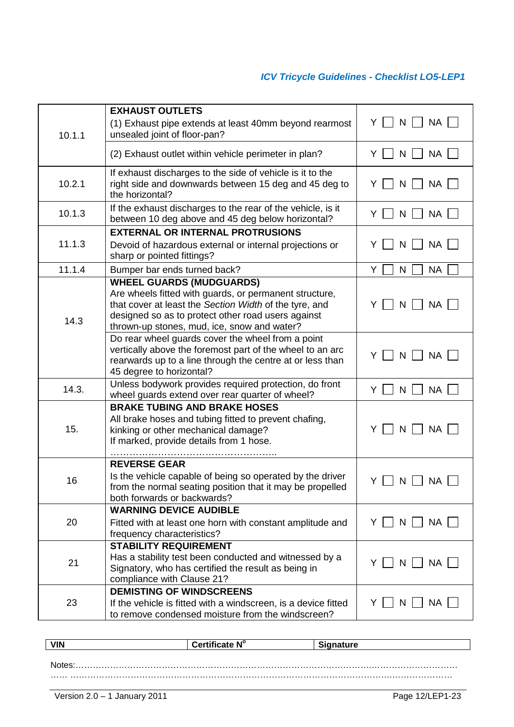|        | <b>EXHAUST OUTLETS</b>                                                                                                                                                                                                                                   |                                      |
|--------|----------------------------------------------------------------------------------------------------------------------------------------------------------------------------------------------------------------------------------------------------------|--------------------------------------|
| 10.1.1 | (1) Exhaust pipe extends at least 40mm beyond rearmost<br>unsealed joint of floor-pan?                                                                                                                                                                   | $N$    <br>YII<br><b>NA</b>          |
|        | (2) Exhaust outlet within vehicle perimeter in plan?                                                                                                                                                                                                     | <b>NA</b><br>N<br>Y.<br>$\mathbf{1}$ |
| 10.2.1 | If exhaust discharges to the side of vehicle is it to the<br>right side and downwards between 15 deg and 45 deg to<br>the horizontal?                                                                                                                    | Y<br>N<br><b>NA</b>                  |
| 10.1.3 | If the exhaust discharges to the rear of the vehicle, is it<br>between 10 deg above and 45 deg below horizontal?                                                                                                                                         | <b>NA</b><br>Y.<br>N                 |
|        | <b>EXTERNAL OR INTERNAL PROTRUSIONS</b>                                                                                                                                                                                                                  |                                      |
| 11.1.3 | Devoid of hazardous external or internal projections or<br>sharp or pointed fittings?                                                                                                                                                                    | <b>NA</b><br>Y<br>N                  |
| 11.1.4 | Bumper bar ends turned back?                                                                                                                                                                                                                             | N<br><b>NA</b><br>Y                  |
| 14.3   | <b>WHEEL GUARDS (MUDGUARDS)</b><br>Are wheels fitted with guards, or permanent structure,<br>that cover at least the Section Width of the tyre, and<br>designed so as to protect other road users against<br>thrown-up stones, mud, ice, snow and water? | $N \mid \cdot$<br>NA  <br>Y          |
|        | Do rear wheel guards cover the wheel from a point<br>vertically above the foremost part of the wheel to an arc<br>rearwards up to a line through the centre at or less than<br>45 degree to horizontal?                                                  | Y<br>N<br><b>NA</b>                  |
| 14.3.  | Unless bodywork provides required protection, do front<br>wheel guards extend over rear quarter of wheel?                                                                                                                                                | <b>NA</b><br>Y.<br>N                 |
| 15.    | <b>BRAKE TUBING AND BRAKE HOSES</b><br>All brake hoses and tubing fitted to prevent chafing,<br>kinking or other mechanical damage?<br>If marked, provide details from 1 hose.                                                                           | $N$     $NA$  <br>Y                  |
| 16     | <b>REVERSE GEAR</b><br>Is the vehicle capable of being so operated by the driver<br>from the normal seating position that it may be propelled<br>both forwards or backwards?                                                                             | <b>NA</b><br>Y<br>N                  |
| 20     | <b>WARNING DEVICE AUDIBLE</b><br>Fitted with at least one horn with constant amplitude and<br>frequency characteristics?                                                                                                                                 | $Y \mid N \mid N$ A                  |
| 21     | <b>STABILITY REQUIREMENT</b><br>Has a stability test been conducted and witnessed by a<br>Signatory, who has certified the result as being in<br>compliance with Clause 21?                                                                              | $Y \Box N \Box NA$                   |
| 23     | <b>DEMISTING OF WINDSCREENS</b><br>If the vehicle is fitted with a windscreen, is a device fitted<br>to remove condensed moisture from the windscreen?                                                                                                   | $N$     $NA$  <br>YII                |

| <b>VIN</b> | Certificate $\textsf{N}^\circ$ | <b>Signature</b> |
|------------|--------------------------------|------------------|
|            |                                |                  |
| Notes.     |                                |                  |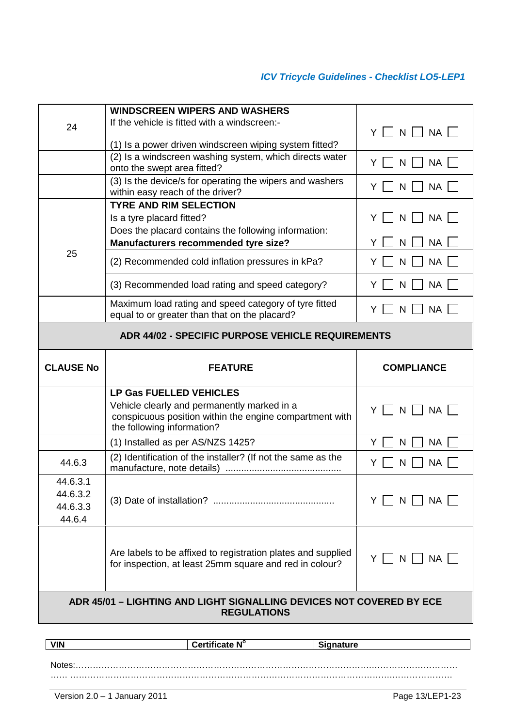|                                                          | <b>WINDSCREEN WIPERS AND WASHERS</b><br>If the vehicle is fitted with a windscreen:-                                    |                           |  |  |
|----------------------------------------------------------|-------------------------------------------------------------------------------------------------------------------------|---------------------------|--|--|
| 24                                                       |                                                                                                                         | $N$    <br><b>NA</b><br>Y |  |  |
|                                                          | (1) Is a power driven windscreen wiping system fitted?                                                                  |                           |  |  |
|                                                          | (2) Is a windscreen washing system, which directs water<br>onto the swept area fitted?                                  | <b>NA</b><br>Y<br>N       |  |  |
|                                                          | (3) Is the device/s for operating the wipers and washers<br>within easy reach of the driver?                            | <b>NA</b><br>Y<br>N       |  |  |
|                                                          | <b>TYRE AND RIM SELECTION</b>                                                                                           |                           |  |  |
|                                                          | Is a tyre placard fitted?                                                                                               | <b>NA</b><br>Y<br>N       |  |  |
|                                                          | Does the placard contains the following information:                                                                    |                           |  |  |
|                                                          | Manufacturers recommended tyre size?                                                                                    | <b>NA</b><br>N            |  |  |
| 25                                                       | (2) Recommended cold inflation pressures in kPa?                                                                        | <b>NA</b><br>Y<br>N       |  |  |
|                                                          | (3) Recommended load rating and speed category?                                                                         | <b>NA</b><br>N<br>Y       |  |  |
|                                                          | Maximum load rating and speed category of tyre fitted<br>equal to or greater than that on the placard?                  | <b>NA</b><br>N<br>Y       |  |  |
| <b>ADR 44/02 - SPECIFIC PURPOSE VEHICLE REQUIREMENTS</b> |                                                                                                                         |                           |  |  |
|                                                          |                                                                                                                         |                           |  |  |
| <b>CLAUSE No</b>                                         | <b>FEATURE</b>                                                                                                          | <b>COMPLIANCE</b>         |  |  |
|                                                          | <b>LP Gas FUELLED VEHICLES</b>                                                                                          |                           |  |  |
|                                                          | Vehicle clearly and permanently marked in a<br>conspicuous position within the engine compartment with                  | Y<br>N<br><b>NA</b>       |  |  |
|                                                          | the following information?                                                                                              | <b>NA</b><br>Y<br>N       |  |  |
| 44.6.3                                                   | (1) Installed as per AS/NZS 1425?<br>(2) Identification of the installer? (If not the same as the                       | <b>NA</b><br>Y<br>N       |  |  |
|                                                          |                                                                                                                         |                           |  |  |
| 44.6.3.1                                                 |                                                                                                                         |                           |  |  |
| 44.6.3.2<br>44.6.3.3                                     |                                                                                                                         | $N$     $NA$  <br>YII     |  |  |
| 44.6.4                                                   |                                                                                                                         |                           |  |  |
|                                                          |                                                                                                                         |                           |  |  |
|                                                          |                                                                                                                         |                           |  |  |
|                                                          | Are labels to be affixed to registration plates and supplied<br>for inspection, at least 25mm square and red in colour? | Y     N     NA            |  |  |
|                                                          |                                                                                                                         |                           |  |  |

| <b>VIN</b> | $\sim$ 1000 $\sim$ $\sim$ 4.4000 $\sim$<br>⊿te N°<br>. Е | าture |
|------------|----------------------------------------------------------|-------|
|            |                                                          |       |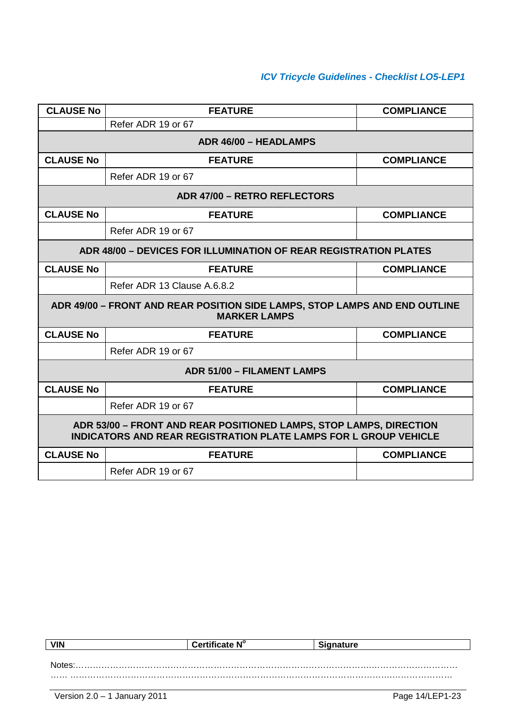| <b>CLAUSE No</b>                                                                                                                              | <b>FEATURE</b>                                                                                    | <b>COMPLIANCE</b> |  |  |  |
|-----------------------------------------------------------------------------------------------------------------------------------------------|---------------------------------------------------------------------------------------------------|-------------------|--|--|--|
|                                                                                                                                               | Refer ADR 19 or 67                                                                                |                   |  |  |  |
|                                                                                                                                               | ADR 46/00 - HEADLAMPS                                                                             |                   |  |  |  |
| <b>CLAUSE No</b>                                                                                                                              | <b>FEATURE</b>                                                                                    | <b>COMPLIANCE</b> |  |  |  |
|                                                                                                                                               | Refer ADR 19 or 67                                                                                |                   |  |  |  |
|                                                                                                                                               | ADR 47/00 - RETRO REFLECTORS                                                                      |                   |  |  |  |
| <b>CLAUSE No</b>                                                                                                                              | <b>FEATURE</b>                                                                                    | <b>COMPLIANCE</b> |  |  |  |
|                                                                                                                                               | Refer ADR 19 or 67                                                                                |                   |  |  |  |
|                                                                                                                                               | <b>ADR 48/00 - DEVICES FOR ILLUMINATION OF REAR REGISTRATION PLATES</b>                           |                   |  |  |  |
| <b>CLAUSE No</b>                                                                                                                              | <b>FEATURE</b>                                                                                    | <b>COMPLIANCE</b> |  |  |  |
|                                                                                                                                               | Refer ADR 13 Clause A.6.8.2                                                                       |                   |  |  |  |
|                                                                                                                                               | ADR 49/00 - FRONT AND REAR POSITION SIDE LAMPS, STOP LAMPS AND END OUTLINE<br><b>MARKER LAMPS</b> |                   |  |  |  |
| <b>CLAUSE No</b>                                                                                                                              | <b>FEATURE</b>                                                                                    | <b>COMPLIANCE</b> |  |  |  |
|                                                                                                                                               | Refer ADR 19 or 67                                                                                |                   |  |  |  |
|                                                                                                                                               | <b>ADR 51/00 - FILAMENT LAMPS</b>                                                                 |                   |  |  |  |
| <b>CLAUSE No</b>                                                                                                                              | <b>FEATURE</b>                                                                                    | <b>COMPLIANCE</b> |  |  |  |
|                                                                                                                                               | Refer ADR 19 or 67                                                                                |                   |  |  |  |
| ADR 53/00 - FRONT AND REAR POSITIONED LAMPS, STOP LAMPS, DIRECTION<br><b>INDICATORS AND REAR REGISTRATION PLATE LAMPS FOR L GROUP VEHICLE</b> |                                                                                                   |                   |  |  |  |
| <b>CLAUSE No</b>                                                                                                                              | <b>FEATURE</b>                                                                                    | <b>COMPLIANCE</b> |  |  |  |
|                                                                                                                                               | Refer ADR 19 or 67                                                                                |                   |  |  |  |

| <b>VIN</b> | Certificate N° | <b>Signature</b> |
|------------|----------------|------------------|
|            |                |                  |
| Notes:     |                |                  |
|            |                |                  |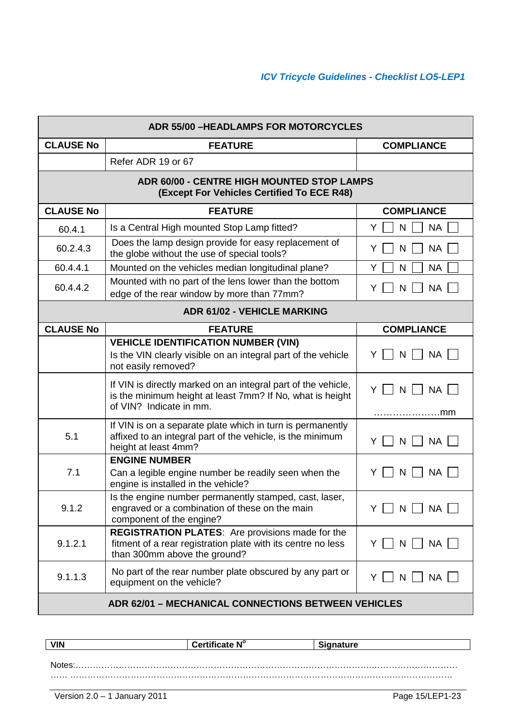| <b>ADR 55/00 -HEADLAMPS FOR MOTORCYCLES</b> |                                                                                                                                                         |                                      |  |  |
|---------------------------------------------|---------------------------------------------------------------------------------------------------------------------------------------------------------|--------------------------------------|--|--|
| <b>CLAUSE No</b>                            | <b>FEATURE</b>                                                                                                                                          | <b>COMPLIANCE</b>                    |  |  |
|                                             | Refer ADR 19 or 67                                                                                                                                      |                                      |  |  |
|                                             | ADR 60/00 - CENTRE HIGH MOUNTED STOP LAMPS<br>(Except For Vehicles Certified To ECE R48)                                                                |                                      |  |  |
| <b>CLAUSE No</b>                            | <b>FEATURE</b>                                                                                                                                          | <b>COMPLIANCE</b>                    |  |  |
| 60.4.1                                      | Is a Central High mounted Stop Lamp fitted?                                                                                                             | <b>NA</b><br>N<br>Y                  |  |  |
| 60.2.4.3                                    | Does the lamp design provide for easy replacement of<br>the globe without the use of special tools?                                                     | <b>NA</b><br>Y<br>N                  |  |  |
| 60.4.4.1                                    | Mounted on the vehicles median longitudinal plane?                                                                                                      | <b>NA</b><br>Y<br>N                  |  |  |
| 60.4.4.2                                    | Mounted with no part of the lens lower than the bottom<br>edge of the rear window by more than 77mm?                                                    | <b>NA</b><br>Υ<br>N                  |  |  |
|                                             | <b>ADR 61/02 - VEHICLE MARKING</b>                                                                                                                      |                                      |  |  |
| <b>CLAUSE No</b>                            | <b>FEATURE</b>                                                                                                                                          | <b>COMPLIANCE</b>                    |  |  |
|                                             | <b>VEHICLE IDENTIFICATION NUMBER (VIN)</b><br>Is the VIN clearly visible on an integral part of the vehicle<br>not easily removed?                      | Y     N<br>    NA                    |  |  |
|                                             | If VIN is directly marked on an integral part of the vehicle,<br>is the minimum height at least 7mm? If No, what is height<br>of VIN? Indicate in mm.   | Y.<br>$N$    <br><b>NA</b>           |  |  |
| 5.1                                         | If VIN is on a separate plate which in turn is permanently<br>affixed to an integral part of the vehicle, is the minimum<br>height at least 4mm?        | <b>NA</b><br>Y<br>N                  |  |  |
| 7.1                                         | <b>ENGINE NUMBER</b><br>Can a legible engine number be readily seen when the<br>engine is installed in the vehicle?                                     | N<br><b>NA</b><br>Y                  |  |  |
| 9.1.2                                       | Is the engine number permanently stamped, cast, laser,<br>engraved or a combination of these on the main<br>component of the engine?                    | NA<br>Y<br>$N \mid$                  |  |  |
| 9.1.2.1                                     | <b>REGISTRATION PLATES:</b> Are provisions made for the<br>fitment of a rear registration plate with its centre no less<br>than 300mm above the ground? | <b>NA</b><br>Y.<br>N<br>$\perp$      |  |  |
| 9.1.1.3                                     | No part of the rear number plate obscured by any part or<br>equipment on the vehicle?                                                                   | <b>NA</b><br>Y.<br>N<br>$\mathbf{1}$ |  |  |
|                                             | <b>ADR 62/01 - MECHANICAL CONNECTIONS BETWEEN VEHICLES</b>                                                                                              |                                      |  |  |

| <b>VIN</b><br><b>VIIV</b> | $\mathbf{N}^{\circ}$ | -<br>. |
|---------------------------|----------------------|--------|
|                           |                      |        |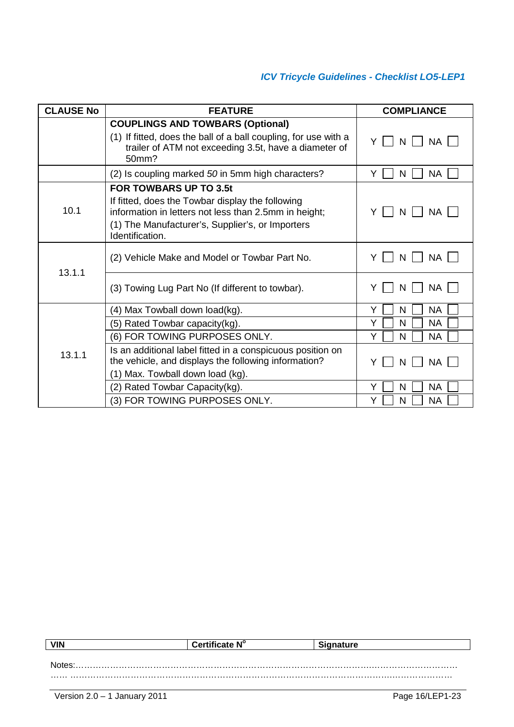| <b>CLAUSE No</b> | <b>FEATURE</b>                                                                                                                                                                                                    | <b>COMPLIANCE</b>   |
|------------------|-------------------------------------------------------------------------------------------------------------------------------------------------------------------------------------------------------------------|---------------------|
|                  | <b>COUPLINGS AND TOWBARS (Optional)</b><br>(1) If fitted, does the ball of a ball coupling, for use with a<br>trailer of ATM not exceeding 3.5t, have a diameter of<br>50mm?                                      | Y<br>NA.<br>N       |
|                  | (2) Is coupling marked 50 in 5mm high characters?                                                                                                                                                                 | <b>NA</b><br>Y<br>N |
| 10.1             | <b>FOR TOWBARS UP TO 3.5t</b><br>If fitted, does the Towbar display the following<br>information in letters not less than 2.5mm in height;<br>(1) The Manufacturer's, Supplier's, or Importers<br>Identification. | Y<br><b>NA</b><br>N |
| 13.1.1           | (2) Vehicle Make and Model or Towbar Part No.                                                                                                                                                                     | Y<br><b>NA</b><br>N |
|                  | (3) Towing Lug Part No (If different to towbar).                                                                                                                                                                  | NА<br>N             |
|                  | (4) Max Towball down load(kg).                                                                                                                                                                                    | Y<br>N<br><b>NA</b> |
|                  | (5) Rated Towbar capacity(kg).                                                                                                                                                                                    | Y<br>N<br>NA        |
| 13.1.1           | (6) FOR TOWING PURPOSES ONLY.                                                                                                                                                                                     | Y<br><b>NA</b><br>N |
|                  | Is an additional label fitted in a conspicuous position on<br>the vehicle, and displays the following information?<br>(1) Max. Towball down load (kg).                                                            | NA.<br>Y<br>N       |
|                  | (2) Rated Towbar Capacity(kg).                                                                                                                                                                                    | Y<br>N<br><b>NA</b> |
|                  | (3) FOR TOWING PURPOSES ONLY.                                                                                                                                                                                     | Y<br><b>NA</b><br>N |

| <b>VIN</b> | Certificate N° | <b>Signature</b> |
|------------|----------------|------------------|
|            |                |                  |
|            |                | Notes:           |
|            |                |                  |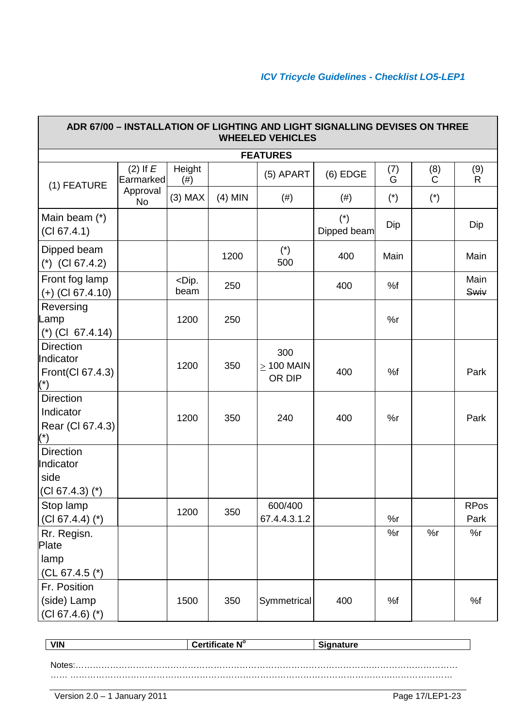| ADR 67/00 - INSTALLATION OF LIGHTING AND LIGHT SIGNALLING DEVISES ON THREE<br><b>WHEELED VEHICLES</b> |                           |                         |           |                                  |                      |                       |                       |                     |
|-------------------------------------------------------------------------------------------------------|---------------------------|-------------------------|-----------|----------------------------------|----------------------|-----------------------|-----------------------|---------------------|
|                                                                                                       |                           |                         |           | <b>FEATURES</b>                  |                      |                       |                       |                     |
| (1) FEATURE                                                                                           | $(2)$ If $E$<br>Earmarked | Height<br>(# )          |           | (5) APART                        | $(6)$ EDGE           | (7)<br>G              | (8)<br>C              | (9)<br>$\mathsf{R}$ |
|                                                                                                       | Approval<br><b>No</b>     | $(3)$ MAX               | $(4)$ MIN | $(\#)$                           | (# )                 | $(\dot{\phantom{a}})$ | $(\dot{\phantom{a}})$ |                     |
| Main beam (*)<br>(Cl 67.4.1)                                                                          |                           |                         |           |                                  | $(*)$<br>Dipped beam | Dip                   |                       | Dip                 |
| Dipped beam<br>$(*)$ (CI 67.4.2)                                                                      |                           |                         | 1200      | $(\dot{\mathcal{C}})$<br>500     | 400                  | Main                  |                       | Main                |
| Front fog lamp<br>$(+)$ (CI 67.4.10)                                                                  |                           | <dip.<br>beam</dip.<br> | 250       |                                  | 400                  | %f                    |                       | Main<br>Swiv        |
| Reversing<br>Lamp<br>$(*)$ (CI 67.4.14)                                                               |                           | 1200                    | 250       |                                  |                      | %r                    |                       |                     |
| <b>Direction</b><br>Indicator<br>Front(Cl 67.4.3)                                                     |                           | 1200                    | 350       | 300<br>$\geq$ 100 MAIN<br>OR DIP | 400                  | %f                    |                       | Park                |
| <b>Direction</b><br>Indicator<br>Rear (Cl 67.4.3)                                                     |                           | 1200                    | 350       | 240                              | 400                  | %r                    |                       | Park                |
| <b>Direction</b><br>Indicator<br>side<br>$(Cl 67.4.3)$ (*)                                            |                           |                         |           |                                  |                      |                       |                       |                     |
| Stop lamp<br>$(Cl 67.4.4)$ (*)                                                                        |                           | 1200                    | 350       | 600/400<br>67.4.4.3.1.2          |                      | %r                    |                       | <b>RPos</b><br>Park |
| Rr. Regisn.<br>Plate<br>lamp<br>(CL 67.4.5 $(*)$                                                      |                           |                         |           |                                  |                      | %r                    | %r                    | %r                  |
| Fr. Position<br>(side) Lamp<br>$(Cl 67.4.6)$ (*)                                                      |                           | 1500                    | 350       | Symmetrical                      | 400                  | %f                    |                       | %f                  |

| <b>VIN</b> | Certificate N° | <b>Signature</b> |
|------------|----------------|------------------|
|            |                |                  |
|            |                |                  |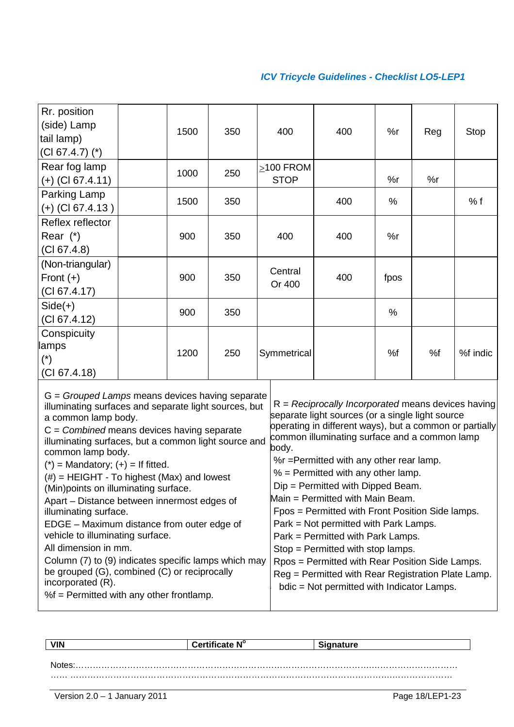| Rr. position<br>(side) Lamp |      |     |                 |     |      |     |          |
|-----------------------------|------|-----|-----------------|-----|------|-----|----------|
| tail lamp)                  | 1500 | 350 | 400             | 400 | %r   | Reg | Stop     |
| $(Cl 67.4.7)$ $(*)$         |      |     |                 |     |      |     |          |
| Rear fog lamp               | 1000 | 250 | $\geq$ 100 FROM |     |      |     |          |
| (+) (Cl 67.4.11)            |      |     | <b>STOP</b>     |     | %r   | %r  |          |
| Parking Lamp                | 1500 | 350 |                 | 400 | %    |     | % f      |
| $(+)$ (CI 67.4.13)          |      |     |                 |     |      |     |          |
| Reflex reflector            |      |     |                 |     |      |     |          |
| Rear $(*)$                  | 900  | 350 | 400             | 400 | %r   |     |          |
| (Cl 67.4.8)                 |      |     |                 |     |      |     |          |
| (Non-triangular)            |      |     | Central         |     |      |     |          |
| Front $(+)$                 | 900  | 350 | Or 400          | 400 | fpos |     |          |
| (Cl 67.4.17)                |      |     |                 |     |      |     |          |
| $Side(+)$                   | 900  | 350 |                 |     | $\%$ |     |          |
| (Cl 67.4.12)                |      |     |                 |     |      |     |          |
| Conspicuity                 |      |     |                 |     |      |     |          |
| lamps                       | 1200 | 250 | Symmetrical     |     | %f   | %f  | %f indic |
| $(*)$                       |      |     |                 |     |      |     |          |
| (CI 67.4.18)                |      |     |                 |     |      |     |          |

| illuminating surfaces and separate light sources, but<br>a common lamp body.<br>$C = Combined$ means devices having separate<br>illuminating surfaces, but a common light source and<br>common lamp body.<br>$(*)$ = Mandatory; $(+)$ = If fitted.<br>$(\#)$ = HEIGHT - To highest (Max) and lowest<br>(Min) points on illuminating surface.<br>Apart – Distance between innermost edges of<br>illuminating surface.<br>EDGE - Maximum distance from outer edge of<br>vehicle to illuminating surface.<br>All dimension in mm.<br>Column (7) to (9) indicates specific lamps which may<br>be grouped (G), combined (C) or reciprocally<br>incorporated (R). | $R = Reciprocally Incorporated means devices having$<br>separate light sources (or a single light source<br>operating in different ways), but a common or partially<br>common illuminating surface and a common lamp<br>body.<br>%r = Permitted with any other rear lamp.<br>$%$ = Permitted with any other lamp.<br>Dip = Permitted with Dipped Beam.<br>Main = Permitted with Main Beam.<br>Fpos = Permitted with Front Position Side lamps.<br>Park = Not permitted with Park Lamps.<br>Park = Permitted with Park Lamps.<br>Stop = Permitted with stop lamps.<br>Rpos = Permitted with Rear Position Side Lamps.<br>Reg = Permitted with Rear Registration Plate Lamp.<br>bdic = Not permitted with Indicator Lamps. |
|-------------------------------------------------------------------------------------------------------------------------------------------------------------------------------------------------------------------------------------------------------------------------------------------------------------------------------------------------------------------------------------------------------------------------------------------------------------------------------------------------------------------------------------------------------------------------------------------------------------------------------------------------------------|--------------------------------------------------------------------------------------------------------------------------------------------------------------------------------------------------------------------------------------------------------------------------------------------------------------------------------------------------------------------------------------------------------------------------------------------------------------------------------------------------------------------------------------------------------------------------------------------------------------------------------------------------------------------------------------------------------------------------|
| %f = Permitted with any other frontlamp.                                                                                                                                                                                                                                                                                                                                                                                                                                                                                                                                                                                                                    |                                                                                                                                                                                                                                                                                                                                                                                                                                                                                                                                                                                                                                                                                                                          |
|                                                                                                                                                                                                                                                                                                                                                                                                                                                                                                                                                                                                                                                             |                                                                                                                                                                                                                                                                                                                                                                                                                                                                                                                                                                                                                                                                                                                          |

| <b>VIN</b> | Certificate N° | <b>Signature</b> |
|------------|----------------|------------------|
|            |                |                  |
| ⊣Notes:    |                |                  |
|            |                |                  |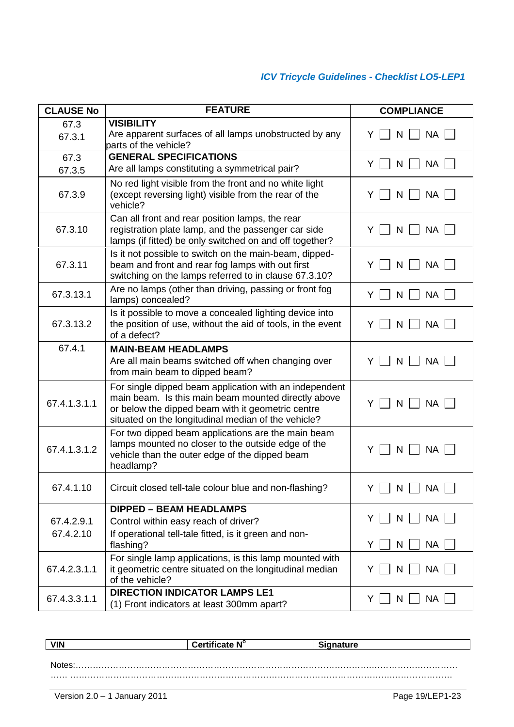| <b>CLAUSE No</b>        | <b>FEATURE</b>                                                                                                                                                                                                            | <b>COMPLIANCE</b>                                                           |
|-------------------------|---------------------------------------------------------------------------------------------------------------------------------------------------------------------------------------------------------------------------|-----------------------------------------------------------------------------|
| 67.3<br>67.3.1          | <b>VISIBILITY</b><br>Are apparent surfaces of all lamps unobstructed by any<br>parts of the vehicle?                                                                                                                      | <b>NA</b><br>N<br>Y.                                                        |
| 67.3<br>67.3.5          | <b>GENERAL SPECIFICATIONS</b><br>Are all lamps constituting a symmetrical pair?                                                                                                                                           | $Y \mid N \mid$<br><b>NA</b>                                                |
| 67.3.9                  | No red light visible from the front and no white light<br>(except reversing light) visible from the rear of the<br>vehicle?                                                                                               | N<br><b>NA</b><br>Y                                                         |
| 67.3.10                 | Can all front and rear position lamps, the rear<br>registration plate lamp, and the passenger car side<br>lamps (if fitted) be only switched on and off together?                                                         | NA<br>Y<br>N                                                                |
| 67.3.11                 | Is it not possible to switch on the main-beam, dipped-<br>beam and front and rear fog lamps with out first<br>switching on the lamps referred to in clause 67.3.10?                                                       | <b>NA</b><br>Y<br>N.                                                        |
| 67.3.13.1               | Are no lamps (other than driving, passing or front fog<br>lamps) concealed?                                                                                                                                               | <b>NA</b><br>Y.<br>N                                                        |
| 67.3.13.2               | Is it possible to move a concealed lighting device into<br>the position of use, without the aid of tools, in the event<br>of a defect?                                                                                    | <b>NA</b><br>Y<br>N                                                         |
| 67.4.1                  | <b>MAIN-BEAM HEADLAMPS</b><br>Are all main beams switched off when changing over<br>from main beam to dipped beam?                                                                                                        | N<br><b>NA</b><br>Y.                                                        |
| 67.4.1.3.1.1            | For single dipped beam application with an independent<br>main beam. Is this main beam mounted directly above<br>or below the dipped beam with it geometric centre<br>situated on the longitudinal median of the vehicle? | Y I<br><b>NA</b><br>N                                                       |
| 67.4.1.3.1.2            | For two dipped beam applications are the main beam<br>lamps mounted no closer to the outside edge of the<br>vehicle than the outer edge of the dipped beam<br>headlamp?                                                   | N<br><b>NA</b><br>ΥI                                                        |
| 67.4.1.10               | Circuit closed tell-tale colour blue and non-flashing?                                                                                                                                                                    | $Y \cap N \cap NA \cap$                                                     |
| 67.4.2.9.1<br>67.4.2.10 | <b>DIPPED - BEAM HEADLAMPS</b><br>Control within easy reach of driver?<br>If operational tell-tale fitted, is it green and non-<br>flashing?                                                                              | NA L<br>Y.<br>N<br>Y  <br><b>NA</b><br>N                                    |
| 67.4.2.3.1.1            | For single lamp applications, is this lamp mounted with<br>it geometric centre situated on the longitudinal median<br>of the vehicle?                                                                                     | NA  <br>ΥI<br>N                                                             |
| 67.4.3.3.1.1            | <b>DIRECTION INDICATOR LAMPS LE1</b><br>(1) Front indicators at least 300mm apart?                                                                                                                                        | $\overline{\phantom{a}}$ NA $\overline{\phantom{a}}$<br>YII<br>$\mathsf{N}$ |

| <b>VIN</b> | Certificate N° | <b>Signature</b> |
|------------|----------------|------------------|
|            |                |                  |
| Notes      |                |                  |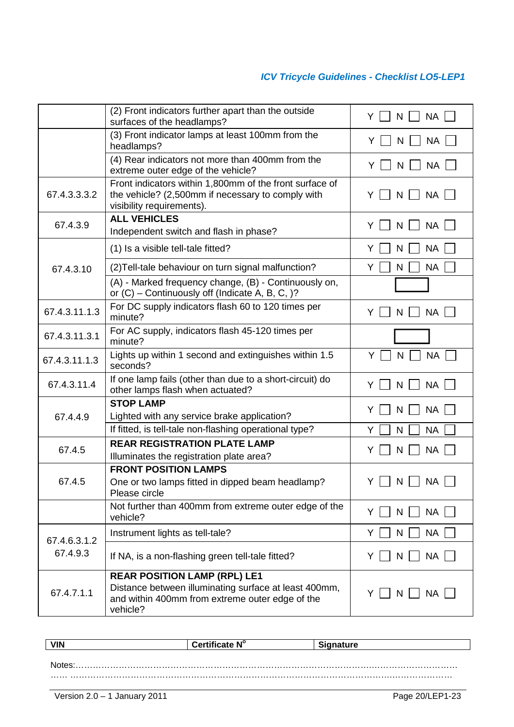|                          | (2) Front indicators further apart than the outside<br>surfaces of the headlamps?                                                                           | <b>NA</b><br>Y<br>N  |
|--------------------------|-------------------------------------------------------------------------------------------------------------------------------------------------------------|----------------------|
|                          | (3) Front indicator lamps at least 100mm from the<br>headlamps?                                                                                             | <b>NA</b><br>N       |
|                          | (4) Rear indicators not more than 400mm from the<br>extreme outer edge of the vehicle?                                                                      | <b>NA</b><br>Y<br>N  |
| 67.4.3.3.3.2             | Front indicators within 1,800mm of the front surface of<br>the vehicle? (2,500mm if necessary to comply with<br>visibility requirements).                   | <b>NA</b><br>N<br>Y  |
| 67.4.3.9                 | <b>ALL VEHICLES</b><br>Independent switch and flash in phase?                                                                                               | <b>NA</b><br>Y<br>N  |
|                          | (1) Is a visible tell-tale fitted?                                                                                                                          | <b>NA</b><br>Y<br>N  |
| 67.4.3.10                | (2) Tell-tale behaviour on turn signal malfunction?                                                                                                         | <b>NA</b><br>Y<br>N  |
|                          | (A) - Marked frequency change, (B) - Continuously on,<br>or $(C)$ – Continuously off (Indicate A, B, C, )?                                                  |                      |
| 67.4.3.11.1.3            | For DC supply indicators flash 60 to 120 times per<br>minute?                                                                                               | <b>NA</b><br>Y<br>N  |
| 67.4.3.11.3.1            | For AC supply, indicators flash 45-120 times per<br>minute?                                                                                                 |                      |
| 67.4.3.11.1.3            | Lights up within 1 second and extinguishes within 1.5<br>seconds?                                                                                           | <b>NA</b><br>Y<br>N  |
| 67.4.3.11.4              | If one lamp fails (other than due to a short-circuit) do<br>other lamps flash when actuated?                                                                | <b>NA</b><br>Y<br>N  |
|                          | <b>STOP LAMP</b>                                                                                                                                            | <b>NA</b><br>N<br>Y  |
| 67.4.4.9                 | Lighted with any service brake application?                                                                                                                 |                      |
|                          | If fitted, is tell-tale non-flashing operational type?                                                                                                      | <b>NA</b><br>Y<br>N  |
| 67.4.5                   | <b>REAR REGISTRATION PLATE LAMP</b>                                                                                                                         | <b>NA</b><br>Y<br>N  |
|                          | Illuminates the registration plate area?<br><b>FRONT POSITION LAMPS</b>                                                                                     |                      |
| 67.4.5                   | One or two lamps fitted in dipped beam headlamp?<br>Please circle                                                                                           | <b>NA</b><br>Y<br>N  |
|                          | Not further than 400mm from extreme outer edge of the<br>vehicle?                                                                                           | <b>NA</b><br>Y.<br>N |
|                          | Instrument lights as tell-tale?                                                                                                                             | <b>NA</b><br>Y.<br>N |
| 67.4.6.3.1.2<br>67.4.9.3 | If NA, is a non-flashing green tell-tale fitted?                                                                                                            | <b>NA</b><br>Y<br>N  |
| 67.4.7.1.1               | <b>REAR POSITION LAMP (RPL) LE1</b><br>Distance between illuminating surface at least 400mm,<br>and within 400mm from extreme outer edge of the<br>vehicle? | NA  <br>N            |

| <b>VIN</b> | Certificate N° | <b>Signature</b> |  |
|------------|----------------|------------------|--|
|            |                |                  |  |
| N          |                |                  |  |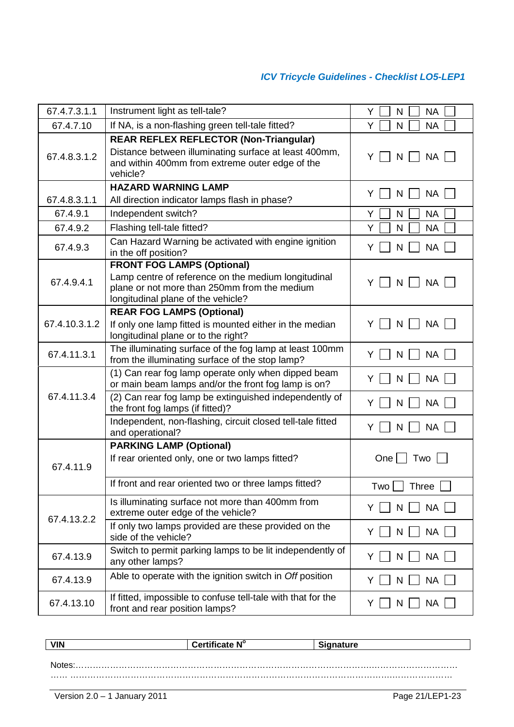| 67.4.7.3.1.1  | Instrument light as tell-tale?                                                                                                                                        | Y<br><b>NA</b><br>N   |
|---------------|-----------------------------------------------------------------------------------------------------------------------------------------------------------------------|-----------------------|
| 67.4.7.10     | If NA, is a non-flashing green tell-tale fitted?                                                                                                                      | <b>NA</b><br>Y<br>N   |
| 67.4.8.3.1.2  | <b>REAR REFLEX REFLECTOR (Non-Triangular)</b><br>Distance between illuminating surface at least 400mm,<br>and within 400mm from extreme outer edge of the<br>vehicle? | <b>NA</b><br>N<br>Y   |
|               | <b>HAZARD WARNING LAMP</b>                                                                                                                                            |                       |
| 67.4.8.3.1.1  | All direction indicator lamps flash in phase?                                                                                                                         | <b>NA</b><br>N<br>Y   |
| 67.4.9.1      | Independent switch?                                                                                                                                                   | <b>NA</b><br>Y<br>N   |
| 67.4.9.2      | Flashing tell-tale fitted?                                                                                                                                            | Y<br><b>NA</b><br>N   |
| 67.4.9.3      | Can Hazard Warning be activated with engine ignition<br>in the off position?                                                                                          | <b>NA</b><br>N<br>Y   |
|               | <b>FRONT FOG LAMPS (Optional)</b>                                                                                                                                     |                       |
| 67.4.9.4.1    | Lamp centre of reference on the medium longitudinal<br>plane or not more than 250mm from the medium<br>longitudinal plane of the vehicle?                             | <b>NA</b><br>Y<br>N   |
|               | <b>REAR FOG LAMPS (Optional)</b>                                                                                                                                      |                       |
| 67.4.10.3.1.2 | If only one lamp fitted is mounted either in the median<br>longitudinal plane or to the right?                                                                        | <b>NA</b><br>Y<br>N   |
| 67.4.11.3.1   | The illuminating surface of the fog lamp at least 100mm<br>from the illuminating surface of the stop lamp?                                                            | Y<br><b>NA</b><br>N   |
|               | (1) Can rear fog lamp operate only when dipped beam<br>or main beam lamps and/or the front fog lamp is on?                                                            | <b>NA</b><br>N        |
| 67.4.11.3.4   | (2) Can rear fog lamp be extinguished independently of<br>the front fog lamps (if fitted)?                                                                            | <b>NA</b><br>N<br>Y   |
|               | Independent, non-flashing, circuit closed tell-tale fitted<br>and operational?                                                                                        | <b>NA</b><br>Y<br>N   |
|               | <b>PARKING LAMP (Optional)</b>                                                                                                                                        |                       |
| 67.4.11.9     | If rear oriented only, one or two lamps fitted?                                                                                                                       | One<br>Two            |
|               | If front and rear oriented two or three lamps fitted?                                                                                                                 | Two  <br><b>Three</b> |
| 67.4.13.2.2   | Is illuminating surface not more than 400mm from<br>extreme outer edge of the vehicle?                                                                                | <b>NA</b>             |
|               | If only two lamps provided are these provided on the<br>side of the vehicle?                                                                                          | <b>NA</b><br>N<br>Y   |
| 67.4.13.9     | Switch to permit parking lamps to be lit independently of<br>any other lamps?                                                                                         | <b>NA</b><br>Y<br>N   |
| 67.4.13.9     | Able to operate with the ignition switch in Off position                                                                                                              | <b>NA</b><br>N        |
| 67.4.13.10    | If fitted, impossible to confuse tell-tale with that for the<br>front and rear position lamps?                                                                        | <b>NA</b><br>Y<br>N   |

| <b>VIN</b> | Certific.<br>cate N° | ature.<br>- |
|------------|----------------------|-------------|
|            |                      |             |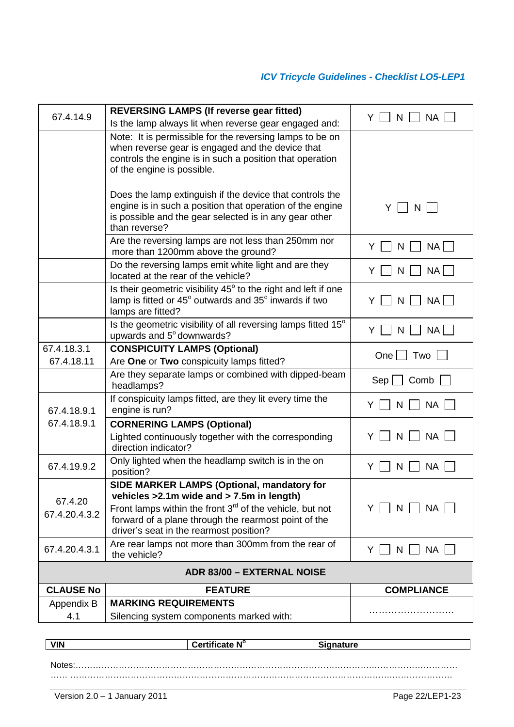| Note: It is permissible for the reversing lamps to be on<br>when reverse gear is engaged and the device that<br>controls the engine is in such a position that operation<br>of the engine is possible.<br>Does the lamp extinguish if the device that controls the<br>engine is in such a position that operation of the engine<br>Y<br>N<br>is possible and the gear selected is in any gear other<br>than reverse?<br>Are the reversing lamps are not less than 250mm nor<br><b>NA</b><br>Y<br>N<br>more than 1200mm above the ground?<br>Do the reversing lamps emit white light and are they<br>NA<br>Y<br>N<br>located at the rear of the vehicle?<br>Is their geometric visibility 45° to the right and left if one<br>lamp is fitted or 45° outwards and 35° inwards if two<br>Y<br>NA  <br>N<br>lamps are fitted?<br>Is the geometric visibility of all reversing lamps fitted 15°<br><b>NA</b><br>Y.<br>N<br>upwards and 5° downwards?<br><b>CONSPICUITY LAMPS (Optional)</b><br>67.4.18.3.1<br>One<br>Two<br>67.4.18.11<br>Are One or Two conspicuity lamps fitted?<br>Are they separate lamps or combined with dipped-beam<br>Sep<br>Comb<br>headlamps?<br>If conspicuity lamps fitted, are they lit every time the<br><b>NA</b><br>Y<br>N<br>engine is run?<br>67.4.18.9.1<br>67.4.18.9.1<br><b>CORNERING LAMPS (Optional)</b><br>NA<br>Lighted continuously together with the corresponding<br>N<br>direction indicator?<br>Only lighted when the headlamp switch is in the on<br>67.4.19.9.2<br><b>NA</b><br>Y<br>N<br>position?<br>SIDE MARKER LAMPS (Optional, mandatory for | 67.4.14.9 | <b>REVERSING LAMPS (If reverse gear fitted)</b><br>Is the lamp always lit when reverse gear engaged and: | <b>NA</b><br>Y. |
|----------------------------------------------------------------------------------------------------------------------------------------------------------------------------------------------------------------------------------------------------------------------------------------------------------------------------------------------------------------------------------------------------------------------------------------------------------------------------------------------------------------------------------------------------------------------------------------------------------------------------------------------------------------------------------------------------------------------------------------------------------------------------------------------------------------------------------------------------------------------------------------------------------------------------------------------------------------------------------------------------------------------------------------------------------------------------------------------------------------------------------------------------------------------------------------------------------------------------------------------------------------------------------------------------------------------------------------------------------------------------------------------------------------------------------------------------------------------------------------------------------------------------------------------------------------------------------------------|-----------|----------------------------------------------------------------------------------------------------------|-----------------|
|                                                                                                                                                                                                                                                                                                                                                                                                                                                                                                                                                                                                                                                                                                                                                                                                                                                                                                                                                                                                                                                                                                                                                                                                                                                                                                                                                                                                                                                                                                                                                                                              |           |                                                                                                          |                 |
|                                                                                                                                                                                                                                                                                                                                                                                                                                                                                                                                                                                                                                                                                                                                                                                                                                                                                                                                                                                                                                                                                                                                                                                                                                                                                                                                                                                                                                                                                                                                                                                              |           |                                                                                                          |                 |
|                                                                                                                                                                                                                                                                                                                                                                                                                                                                                                                                                                                                                                                                                                                                                                                                                                                                                                                                                                                                                                                                                                                                                                                                                                                                                                                                                                                                                                                                                                                                                                                              |           |                                                                                                          |                 |
|                                                                                                                                                                                                                                                                                                                                                                                                                                                                                                                                                                                                                                                                                                                                                                                                                                                                                                                                                                                                                                                                                                                                                                                                                                                                                                                                                                                                                                                                                                                                                                                              |           |                                                                                                          |                 |
|                                                                                                                                                                                                                                                                                                                                                                                                                                                                                                                                                                                                                                                                                                                                                                                                                                                                                                                                                                                                                                                                                                                                                                                                                                                                                                                                                                                                                                                                                                                                                                                              |           |                                                                                                          |                 |
|                                                                                                                                                                                                                                                                                                                                                                                                                                                                                                                                                                                                                                                                                                                                                                                                                                                                                                                                                                                                                                                                                                                                                                                                                                                                                                                                                                                                                                                                                                                                                                                              |           |                                                                                                          |                 |
|                                                                                                                                                                                                                                                                                                                                                                                                                                                                                                                                                                                                                                                                                                                                                                                                                                                                                                                                                                                                                                                                                                                                                                                                                                                                                                                                                                                                                                                                                                                                                                                              |           |                                                                                                          |                 |
|                                                                                                                                                                                                                                                                                                                                                                                                                                                                                                                                                                                                                                                                                                                                                                                                                                                                                                                                                                                                                                                                                                                                                                                                                                                                                                                                                                                                                                                                                                                                                                                              |           |                                                                                                          |                 |
|                                                                                                                                                                                                                                                                                                                                                                                                                                                                                                                                                                                                                                                                                                                                                                                                                                                                                                                                                                                                                                                                                                                                                                                                                                                                                                                                                                                                                                                                                                                                                                                              |           |                                                                                                          |                 |
|                                                                                                                                                                                                                                                                                                                                                                                                                                                                                                                                                                                                                                                                                                                                                                                                                                                                                                                                                                                                                                                                                                                                                                                                                                                                                                                                                                                                                                                                                                                                                                                              |           |                                                                                                          |                 |
|                                                                                                                                                                                                                                                                                                                                                                                                                                                                                                                                                                                                                                                                                                                                                                                                                                                                                                                                                                                                                                                                                                                                                                                                                                                                                                                                                                                                                                                                                                                                                                                              |           |                                                                                                          |                 |
| 67.4.20<br>Front lamps within the front $3rd$ of the vehicle, but not<br>$N$ $ $ $ $ $NA$ $ $ $ $<br>Y.<br>67.4.20.4.3.2<br>forward of a plane through the rearmost point of the<br>driver's seat in the rearmost position?                                                                                                                                                                                                                                                                                                                                                                                                                                                                                                                                                                                                                                                                                                                                                                                                                                                                                                                                                                                                                                                                                                                                                                                                                                                                                                                                                                  |           | vehicles > 2.1m wide and > 7.5m in length)                                                               |                 |
| Are rear lamps not more than 300mm from the rear of<br>67.4.20.4.3.1<br>NA  <br>Y.<br>$N$    <br>the vehicle?                                                                                                                                                                                                                                                                                                                                                                                                                                                                                                                                                                                                                                                                                                                                                                                                                                                                                                                                                                                                                                                                                                                                                                                                                                                                                                                                                                                                                                                                                |           |                                                                                                          |                 |
| <b>ADR 83/00 - EXTERNAL NOISE</b>                                                                                                                                                                                                                                                                                                                                                                                                                                                                                                                                                                                                                                                                                                                                                                                                                                                                                                                                                                                                                                                                                                                                                                                                                                                                                                                                                                                                                                                                                                                                                            |           |                                                                                                          |                 |
| <b>CLAUSE No</b><br><b>FEATURE</b><br><b>COMPLIANCE</b>                                                                                                                                                                                                                                                                                                                                                                                                                                                                                                                                                                                                                                                                                                                                                                                                                                                                                                                                                                                                                                                                                                                                                                                                                                                                                                                                                                                                                                                                                                                                      |           |                                                                                                          |                 |
| <b>MARKING REQUIREMENTS</b><br>Appendix B<br>4.1<br>Silencing system components marked with:                                                                                                                                                                                                                                                                                                                                                                                                                                                                                                                                                                                                                                                                                                                                                                                                                                                                                                                                                                                                                                                                                                                                                                                                                                                                                                                                                                                                                                                                                                 |           |                                                                                                          |                 |

| <b>VIN</b> | Certificate N° | .<br><b>condure</b><br>הור. |
|------------|----------------|-----------------------------|